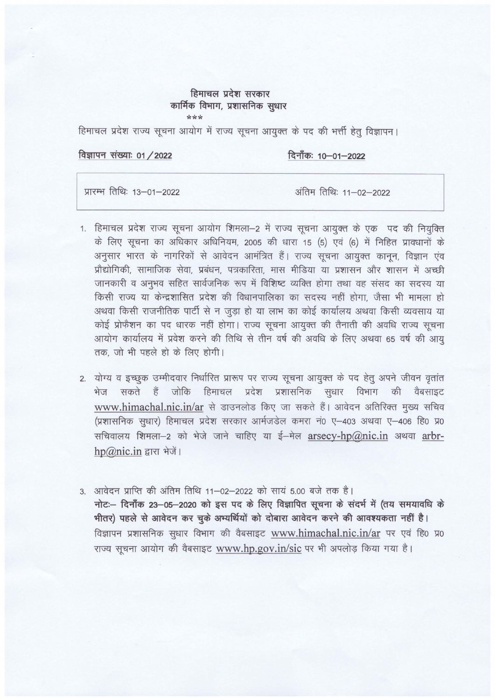## हिमाचल प्रदेश सरकार कार्मिक विभाग, प्रशासनिक सुधार

\*\*\*<br>हिमाचल प्रदेश राज्य सूचना आयोग में राज्य सूचना आयुक्त के पद की भर्त्ती हेतु विज्ञापन।

विज्ञापन संख्याः 01 / 2022

~: 10-01-2022

प्रारम्भ तिथिः 13-01-2022

अंतिम तिथि: 11-02-2022

- 1. हिमाचल प्रदेश राज्य सूचना आयोग शिमला-2 में राज्य सूचना आयुक्त के एक पद की नियुक्ति के लिए सूचना का अधिकार अधिनियम, 2005 की धारा 15 (5) एवं (6) में निहित प्रावधानों के अनुसार भारत के नागरिकों से आवेदन आमंत्रित हैं। राज्य सूचना आयुक्त कानून, विज्ञान एंव प्रौद्योगिकी, सामाजिक सेवा, प्रबंधन, पत्रकारिता, मास मीडिया या प्रशासन और शासन में अच्छी जानकारी व अनुभव सहित सार्वजनिक रूप में विशिष्ट व्यक्ति होगा तथा वह संसद का सदस्य या किसी राज्य या केन्द्रशासित प्रदेश की विधानपालिका का सदस्य नहीं होगा, जैसा भी मामला हो<br>अथवा किसी राजनीतिक पार्टी से न जूड़ा हो या लाभ का कोई कार्यालय अथवा किसी व्यवसाय या कोई प्रोफैशन का पद धारक नहीं होगा। राज्य सूचना आयुक्त की तैनाती की अवधि राज्य सूचना आयोग कार्यालय में प्रवेश करने की तिथि से तीन वर्ष की अवधि के लिए अथवा 65 वर्ष की आयु तक, जो भी पहले हो के लिए होगी।
- 2. ~ q ~ \3Ri()I~ql\! f.1trfft:; >rffil1"YX ~~ ~ cfi 1R ~ ~ ~ ¥fcl ~ ~ ~ IJ'Ilfcp f6li I iI (11 ~ >l ~II fl f.1 Cb Xjtm fcl<wT ctT ~ €l fll ~ <sup>c</sup> www.himachal.nic.in/ar से डाउनलोड किए जा सकते हैं। आवेदन अतिरिक्त मुख्य सचिव (प्रशासनिक सुधार) हिमाचल प्रदेश सरकार आर्मजडेल कमरा नं0 ए-403 अथवा ए-406 हि0 प्र0 सचिवालय शिमला-2 को भेजे जाने चाहिए या ई-मेल arsecy-hp@nic.in अथवा arbr $hp@nic.in$  द्वारा भेजें।

3. आवेदन प्राप्ति की अंतिम तिथि 11-02-2022 को सायं 5.00 बजे तक है। आवदन प्राप्त का आतम ाताथ 11–02–2022 का साय 5.00 बज तक है।<br>नोटः– दिनाँक 23–05–2020 को इस पद के लिए विज्ञापित सूचना के संदर्भ में (तय समयावधि के<br>भीतर) पहले से आवेदन कर चुके अभ्यर्थियों को दोबारा आवेदन करने की आवश्यकता नहीं **भीतर) पहले से आवेदन कर चुके अभ्यर्थियों को दोबारा आवेदन करने की आवश्यकता नहीं है।**<br>विज्ञापन प्रशासनिक सुधार विभाग की वैबसाइट www.himachal.nic.in/ar पर एवं हि0 प्र0 राज्य सूचना आयोग की वैबसाइट www.hp.gov.in/sic पर भी अपलोड़ किया गया है।